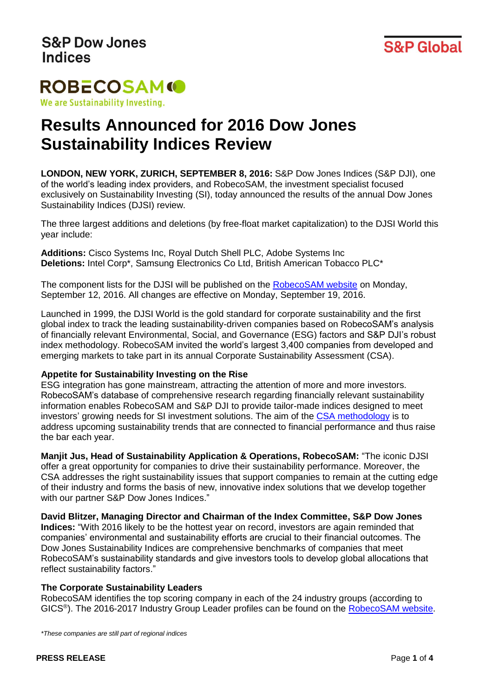

## **ROBECOSAMO** We are Sustainability Investing.

# **Results Announced for 2016 Dow Jones Sustainability Indices Review**

**LONDON, NEW YORK, ZURICH, SEPTEMBER 8, 2016:** S&P Dow Jones Indices (S&P DJI), one of the world's leading index providers, and RobecoSAM, the investment specialist focused exclusively on Sustainability Investing (SI), today announced the results of the annual Dow Jones Sustainability Indices (DJSI) review.

The three largest additions and deletions (by free-float market capitalization) to the DJSI World this year include:

**Additions:** Cisco Systems Inc, Royal Dutch Shell PLC, Adobe Systems Inc **Deletions:** Intel Corp\*, Samsung Electronics Co Ltd, British American Tobacco PLC\*

The component lists for the DJSI will be published on the [RobecoSAM website](http://www.robecosam.com/en/sustainability-insights/about-sustainability/corporate-sustainability-assessment/djsi-components-lists.jsp) on Monday, September 12, 2016. All changes are effective on Monday, September 19, 2016.

Launched in 1999, the DJSI World is the gold standard for corporate sustainability and the first global index to track the leading sustainability-driven companies based on RobecoSAM's analysis of financially relevant Environmental, Social, and Governance (ESG) factors and S&P DJI's robust index methodology. RobecoSAM invited the world's largest 3,400 companies from developed and emerging markets to take part in its annual Corporate Sustainability Assessment (CSA).

#### **Appetite for Sustainability Investing on the Rise**

ESG integration has gone mainstream, attracting the attention of more and more investors. RobecoSAM's database of comprehensive research regarding financially relevant sustainability information enables RobecoSAM and S&P DJI to provide tailor-made indices designed to meet investors' growing needs for SI investment solutions. The aim of the [CSA methodology](http://www.robecosam.com/images/Measuring_Intangibles_CSA_methodology.pdf) is to address upcoming sustainability trends that are connected to financial performance and thus raise the bar each year.

**Manjit Jus, Head of Sustainability Application & Operations, RobecoSAM:** "The iconic DJSI offer a great opportunity for companies to drive their sustainability performance. Moreover, the CSA addresses the right sustainability issues that support companies to remain at the cutting edge of their industry and forms the basis of new, innovative index solutions that we develop together with our partner S&P Dow Jones Indices."

**David Blitzer, Managing Director and Chairman of the Index Committee, S&P Dow Jones Indices:** "With 2016 likely to be the hottest year on record, investors are again reminded that companies' environmental and sustainability efforts are crucial to their financial outcomes. The Dow Jones Sustainability Indices are comprehensive benchmarks of companies that meet RobecoSAM's sustainability standards and give investors tools to develop global allocations that reflect sustainability factors."

#### **The Corporate Sustainability Leaders**

RobecoSAM identifies the top scoring company in each of the 24 industry groups (according to GICS<sup>®</sup>). The 2016-2017 Industry Group Leader profiles can be found on the **RobecoSAM website**.

*\*These companies are still part of regional indices*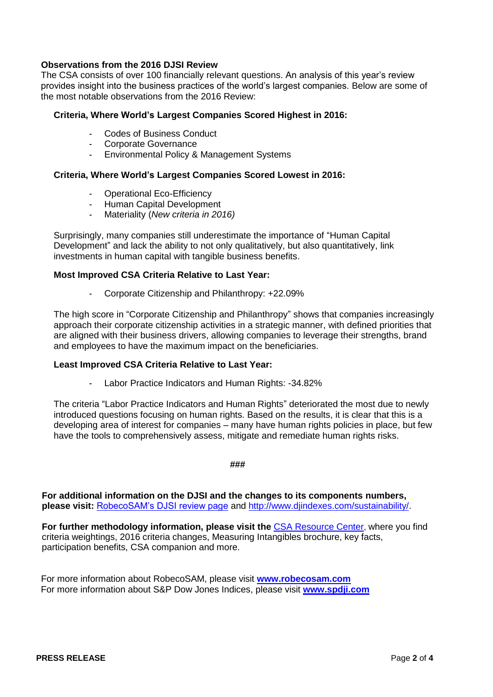#### **Observations from the 2016 DJSI Review**

The CSA consists of over 100 financially relevant questions. An analysis of this year's review provides insight into the business practices of the world's largest companies. Below are some of the most notable observations from the 2016 Review:

#### **Criteria, Where World's Largest Companies Scored Highest in 2016:**

- Codes of Business Conduct
- Corporate Governance
- Environmental Policy & Management Systems

#### **Criteria, Where World's Largest Companies Scored Lowest in 2016:**

- Operational Eco-Efficiency
- Human Capital Development
- Materiality (*New criteria in 2016)*

Surprisingly, many companies still underestimate the importance of "Human Capital Development" and lack the ability to not only qualitatively, but also quantitatively, link investments in human capital with tangible business benefits.

#### **Most Improved CSA Criteria Relative to Last Year:**

Corporate Citizenship and Philanthropy: +22.09%

The high score in "Corporate Citizenship and Philanthropy" shows that companies increasingly approach their corporate citizenship activities in a strategic manner, with defined priorities that are aligned with their business drivers, allowing companies to leverage their strengths, brand and employees to have the maximum impact on the beneficiaries.

#### **Least Improved CSA Criteria Relative to Last Year:**

Labor Practice Indicators and Human Rights: -34.82%

The criteria "Labor Practice Indicators and Human Rights" deteriorated the most due to newly introduced questions focusing on human rights. Based on the results, it is clear that this is a developing area of interest for companies – many have human rights policies in place, but few have the tools to comprehensively assess, mitigate and remediate human rights risks.

**###**

**For additional information on the DJSI and the changes to its components numbers, please visit:** [RobecoSAM's DJSI review page](http://www.robecosam.com/en/sustainability-insights/about-sustainability/corporate-sustainability-assessment/review.jsp) and [http://www.djindexes.com/sustainability/.](http://www.djindexes.com/sustainability/)

**For further methodology information, please visit the [CSA Resource Center](http://www.robecosam.com/en/sustainability-insights/about-sustainability/corporate-sustainability-assessment/resource-center.jsp), where you find** criteria weightings, 2016 criteria changes, Measuring Intangibles brochure, key facts, participation benefits, CSA companion and more.

For more information about RobecoSAM, please visit **[www.robecosam.com](http://www.robecosam.com/)** For more information about S&P Dow Jones Indices, please visit **[www.spdji.com](http://www.spdji.com/)**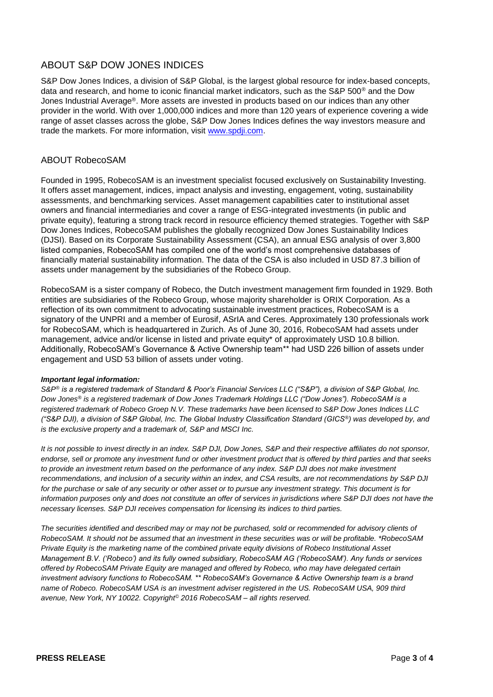#### ABOUT S&P DOW JONES INDICES

S&P Dow Jones Indices, a division of S&P Global, is the largest global resource for index-based concepts, data and research, and home to iconic financial market indicators, such as the S&P 500® and the Dow Jones Industrial Average®. More assets are invested in products based on our indices than any other provider in the world. With over 1,000,000 indices and more than 120 years of experience covering a wide range of asset classes across the globe, S&P Dow Jones Indices defines the way investors measure and trade the markets. For more information, visit [www.spdji.com.](http://www.spdji.com/)

#### ABOUT RobecoSAM

Founded in 1995, RobecoSAM is an investment specialist focused exclusively on Sustainability Investing. It offers asset management, indices, impact analysis and investing, engagement, voting, sustainability assessments, and benchmarking services. Asset management capabilities cater to institutional asset owners and financial intermediaries and cover a range of ESG-integrated investments (in public and private equity), featuring a strong track record in resource efficiency themed strategies. Together with S&P Dow Jones Indices, RobecoSAM publishes the globally recognized Dow Jones Sustainability Indices (DJSI). Based on its Corporate Sustainability Assessment (CSA), an annual ESG analysis of over 3,800 listed companies, RobecoSAM has compiled one of the world's most comprehensive databases of financially material sustainability information. The data of the CSA is also included in USD 87.3 billion of assets under management by the subsidiaries of the Robeco Group.

RobecoSAM is a sister company of Robeco, the Dutch investment management firm founded in 1929. Both entities are subsidiaries of the Robeco Group, whose majority shareholder is ORIX Corporation. As a reflection of its own commitment to advocating sustainable investment practices, RobecoSAM is a signatory of the UNPRI and a member of Eurosif, ASrIA and Ceres. Approximately 130 professionals work for RobecoSAM, which is headquartered in Zurich. As of June 30, 2016, RobecoSAM had assets under management, advice and/or license in listed and private equity\* of approximately USD 10.8 billion. Additionally, RobecoSAM's Governance & Active Ownership team\*\* had USD 226 billion of assets under engagement and USD 53 billion of assets under voting.

#### *Important legal information:*

*S&P® is a registered trademark of Standard & Poor's Financial Services LLC ("S&P"), a division of S&P Global, Inc. Dow Jones® is a registered trademark of Dow Jones Trademark Holdings LLC ("Dow Jones"). RobecoSAM is a registered trademark of Robeco Groep N.V. These trademarks have been licensed to S&P Dow Jones Indices LLC ("S&P DJI), a division of S&P Global, Inc. The Global Industry Classification Standard (GICS®) was developed by, and is the exclusive property and a trademark of, S&P and MSCI Inc.*

*It is not possible to invest directly in an index. S&P DJI, Dow Jones, S&P and their respective affiliates do not sponsor, endorse, sell or promote any investment fund or other investment product that is offered by third parties and that seeks to provide an investment return based on the performance of any index. S&P DJI does not make investment recommendations, and inclusion of a security within an index, and CSA results, are not recommendations by S&P DJI for the purchase or sale of any security or other asset or to pursue any investment strategy. This document is for information purposes only and does not constitute an offer of services in jurisdictions where S&P DJI does not have the necessary licenses. S&P DJI receives compensation for licensing its indices to third parties.*

*The securities identified and described may or may not be purchased, sold or recommended for advisory clients of RobecoSAM. It should not be assumed that an investment in these securities was or will be profitable. \*RobecoSAM Private Equity is the marketing name of the combined private equity divisions of Robeco Institutional Asset Management B.V. ('Robeco') and its fully owned subsidiary, RobecoSAM AG ('RobecoSAM'). Any funds or services offered by RobecoSAM Private Equity are managed and offered by Robeco, who may have delegated certain investment advisory functions to RobecoSAM. \*\* RobecoSAM's Governance & Active Ownership team is a brand name of Robeco. RobecoSAM USA is an investment adviser registered in the US. RobecoSAM USA, 909 third avenue, New York, NY 10022. Copyright© 2016 RobecoSAM – all rights reserved.*